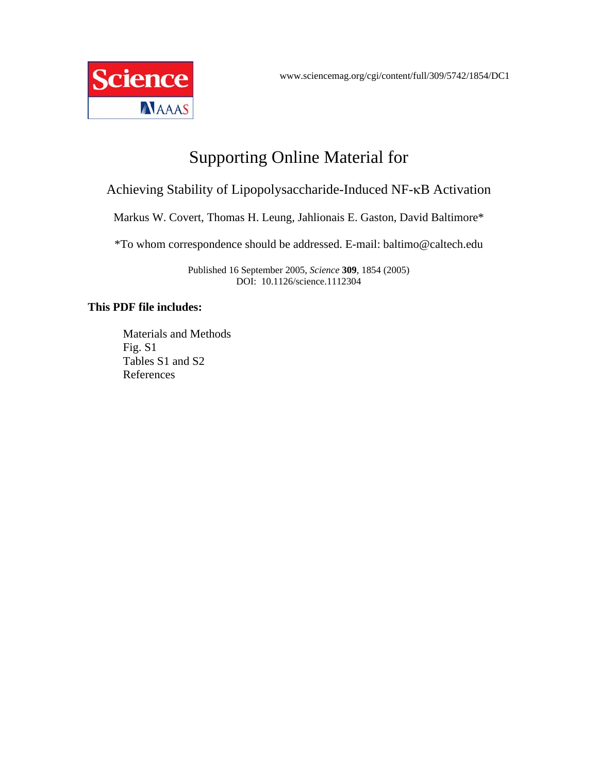

# Supporting Online Material for

# Achieving Stability of Lipopolysaccharide-Induced NF-κB Activation

Markus W. Covert, Thomas H. Leung, Jahlionais E. Gaston, David Baltimore\*

\*To whom correspondence should be addressed. E-mail: baltimo@caltech.edu

Published 16 September 2005, *Science* **309**, 1854 (2005) DOI: 10.1126/science.1112304

#### **This PDF file includes:**

Materials and Methods Fig. S1 Tables S1 and S2 References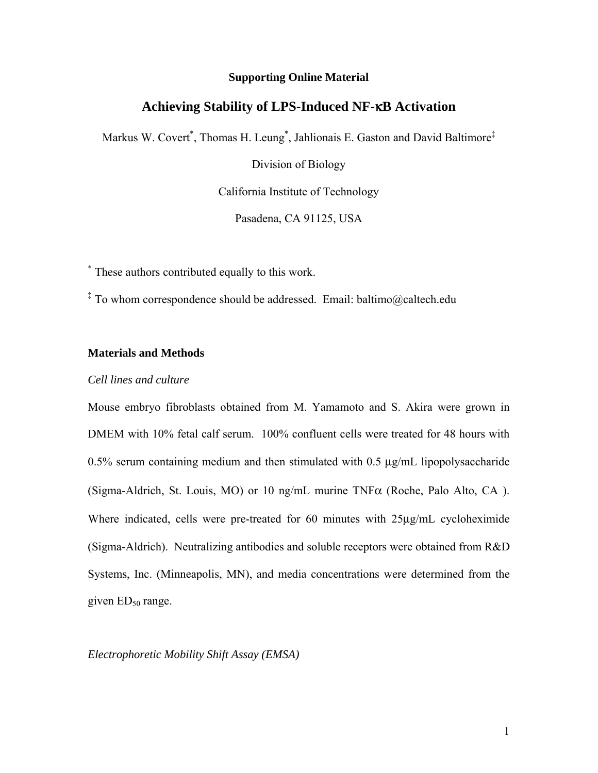#### **Supporting Online Material**

### **Achieving Stability of LPS-Induced NF-**κ**B Activation**

Markus W. Covert<sup>\*</sup>, Thomas H. Leung<sup>\*</sup>, Jahlionais E. Gaston and David Baltimore<sup>‡</sup>

Division of Biology

California Institute of Technology

Pasadena, CA 91125, USA

\* These authors contributed equally to this work.

‡ To whom correspondence should be addressed. Email: baltimo@caltech.edu

#### **Materials and Methods**

#### *Cell lines and culture*

Mouse embryo fibroblasts obtained from M. Yamamoto and S. Akira were grown in DMEM with 10% fetal calf serum. 100% confluent cells were treated for 48 hours with 0.5% serum containing medium and then stimulated with 0.5 µg/mL lipopolysaccharide (Sigma-Aldrich, St. Louis, MO) or 10 ng/mL murine  $TNF\alpha$  (Roche, Palo Alto, CA). Where indicated, cells were pre-treated for 60 minutes with 25µg/mL cycloheximide (Sigma-Aldrich). Neutralizing antibodies and soluble receptors were obtained from R&D Systems, Inc. (Minneapolis, MN), and media concentrations were determined from the given  $ED<sub>50</sub>$  range.

*Electrophoretic Mobility Shift Assay (EMSA)*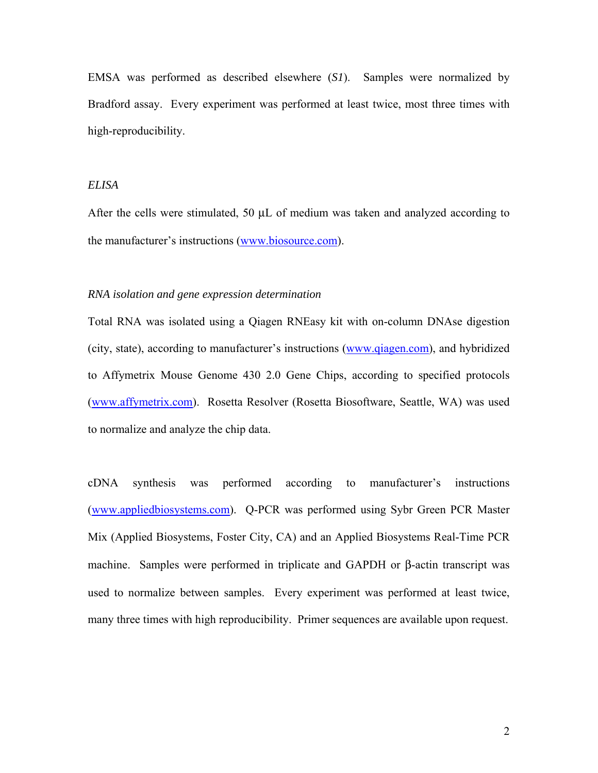EMSA was performed as described elsewhere (*S1*). Samples were normalized by Bradford assay. Every experiment was performed at least twice, most three times with high-reproducibility.

#### *ELISA*

After the cells were stimulated, 50  $\mu$ L of medium was taken and analyzed according to the manufacturer's instructions [\(www.biosource.com\)](http://www.biosource.com/).

#### *RNA isolation and gene expression determination*

Total RNA was isolated using a Qiagen RNEasy kit with on-column DNAse digestion (city, state), according to manufacturer's instructions ([www.qiagen.com](http://www.qiagen.com/)), and hybridized to Affymetrix Mouse Genome 430 2.0 Gene Chips, according to specified protocols ([www.affymetrix.com](http://www.affymetrix.com/)). Rosetta Resolver (Rosetta Biosoftware, Seattle, WA) was used to normalize and analyze the chip data.

cDNA synthesis was performed according to manufacturer's instructions ([www.appliedbiosystems.com](http://www.appliedbiosystems.com/)). Q-PCR was performed using Sybr Green PCR Master Mix (Applied Biosystems, Foster City, CA) and an Applied Biosystems Real-Time PCR machine. Samples were performed in triplicate and GAPDH or β-actin transcript was used to normalize between samples. Every experiment was performed at least twice, many three times with high reproducibility. Primer sequences are available upon request.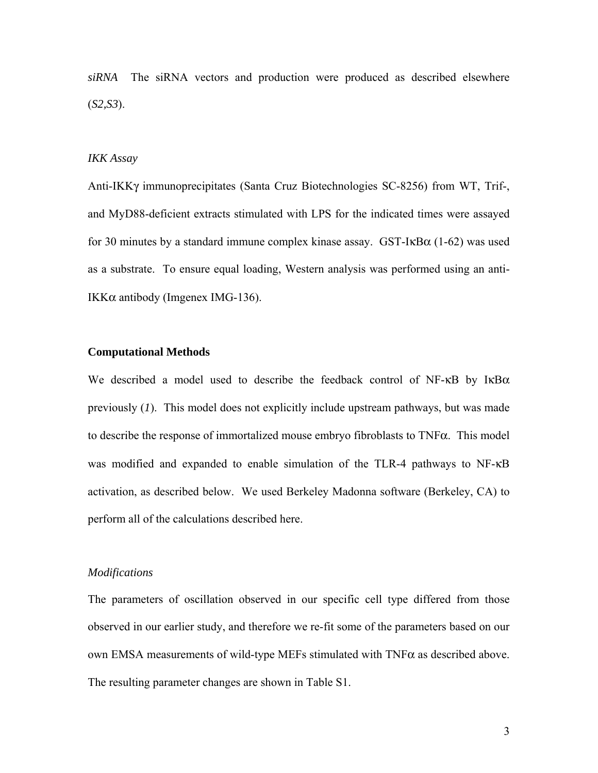*siRNA* The siRNA vectors and production were produced as described elsewhere (*S2,S3*).

#### *IKK Assay*

Anti-IKKγ immunoprecipitates (Santa Cruz Biotechnologies SC-8256) from WT, Trif-, and MyD88-deficient extracts stimulated with LPS for the indicated times were assayed for 30 minutes by a standard immune complex kinase assay. GST-IκBα (1-62) was used as a substrate. To ensure equal loading, Western analysis was performed using an anti-IKKα antibody (Imgenex IMG-136).

#### **Computational Methods**

We described a model used to describe the feedback control of NF- $\kappa$ B by I $\kappa$ B $\alpha$ previously (*1*). This model does not explicitly include upstream pathways, but was made to describe the response of immortalized mouse embryo fibroblasts to TNFα. This model was modified and expanded to enable simulation of the TLR-4 pathways to NF-κB activation, as described below. We used Berkeley Madonna software (Berkeley, CA) to perform all of the calculations described here.

#### *Modifications*

The parameters of oscillation observed in our specific cell type differed from those observed in our earlier study, and therefore we re-fit some of the parameters based on our own EMSA measurements of wild-type MEFs stimulated with TNFα as described above. The resulting parameter changes are shown in Table S1.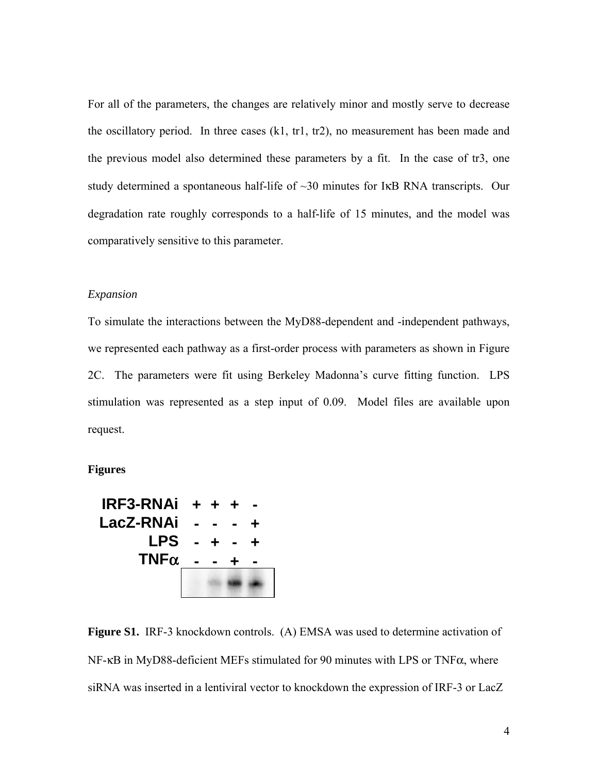For all of the parameters, the changes are relatively minor and mostly serve to decrease the oscillatory period. In three cases (k1, tr1, tr2), no measurement has been made and the previous model also determined these parameters by a fit. In the case of tr3, one study determined a spontaneous half-life of ~30 minutes for IκB RNA transcripts. Our degradation rate roughly corresponds to a half-life of 15 minutes, and the model was comparatively sensitive to this parameter.

#### *Expansion*

To simulate the interactions between the MyD88-dependent and -independent pathways, we represented each pathway as a first-order process with parameters as shown in Figure 2C. The parameters were fit using Berkeley Madonna's curve fitting function. LPS stimulation was represented as a step input of 0.09. Model files are available upon request.

**Figures** 



**Figure S1.** IRF-3 knockdown controls. (A) EMSA was used to determine activation of NF-κB in MyD88-deficient MEFs stimulated for 90 minutes with LPS or TNFα, where siRNA was inserted in a lentiviral vector to knockdown the expression of IRF-3 or LacZ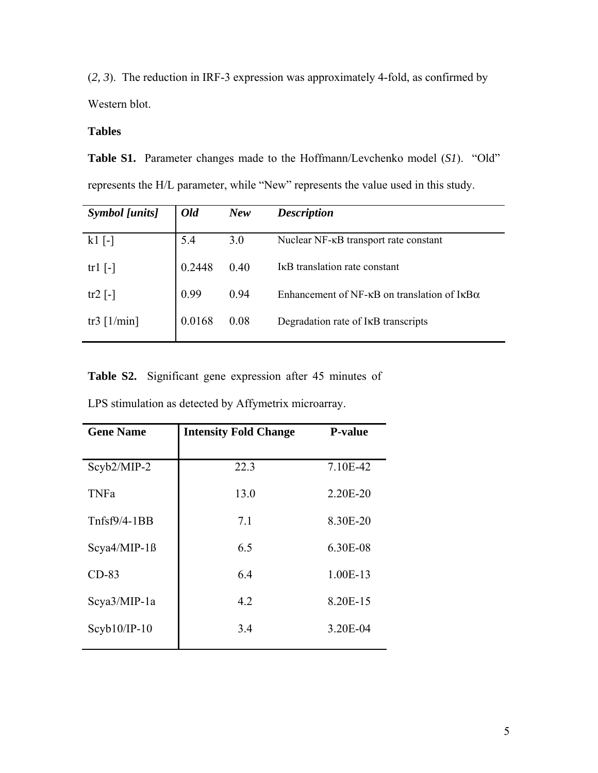(*2, 3*). The reduction in IRF-3 expression was approximately 4-fold, as confirmed by Western blot.

### **Tables**

**Table S1.** Parameter changes made to the Hoffmann/Levchenko model (*S1*)."Old" represents the H/L parameter, while "New" represents the value used in this study.

| <b>Symbol</b> [units] | Old    | <b>New</b> | <b>Description</b>                                                    |
|-----------------------|--------|------------|-----------------------------------------------------------------------|
| $k1$ [-]              | 5.4    | 3.0        | Nuclear NF- $\kappa$ B transport rate constant                        |
| $tr1$  -              | 0.2448 | 0.40       | I <sub>K</sub> B translation rate constant                            |
| tr2 $\lceil - \rceil$ | 0.99   | 0.94       | Enhancement of NF- $\kappa$ B on translation of I $\kappa$ B $\alpha$ |
| tr3 $[1/\text{min}]$  | 0.0168 | 0.08       | Degradation rate of IKB transcripts                                   |

**Table S2.** Significant gene expression after 45 minutes of

LPS stimulation as detected by Affymetrix microarray.

| <b>Gene Name</b> | <b>Intensity Fold Change</b> | <b>P-value</b> |
|------------------|------------------------------|----------------|
| Scyb2/MIP-2      | 22.3                         | 7.10E-42       |
| <b>TNFa</b>      | 13.0                         | 2.20E-20       |
| $Tnfsf9/4-1BB$   | 7.1                          | 8.30E-20       |
| $Scya4/MIP-1B$   | 6.5                          | 6.30E-08       |
| $CD-83$          | 6.4                          | 1.00E-13       |
| $Scya3/MIP-1a$   | 4.2                          | 8.20E-15       |
| $Scyb10/IP-10$   | 3.4                          | 3.20E-04       |
|                  |                              |                |